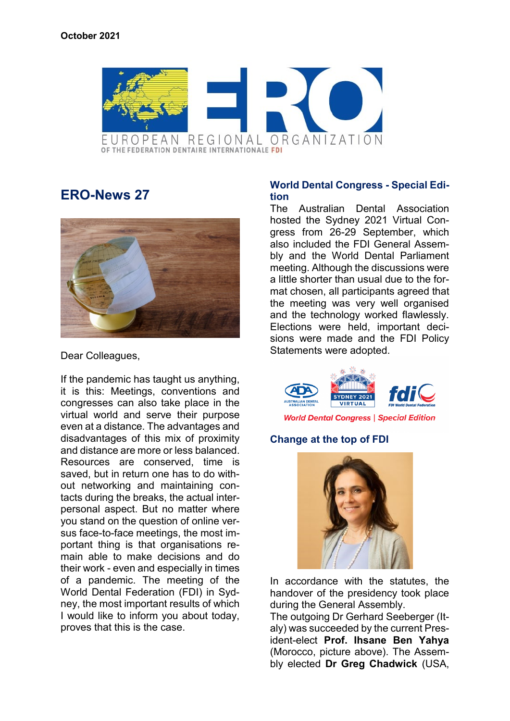

# **ERO-News 27**



Dear Colleagues,

If the pandemic has taught us anything, it is this: Meetings, conventions and congresses can also take place in the virtual world and serve their purpose even at a distance. The advantages and disadvantages of this mix of proximity and distance are more or less balanced. Resources are conserved, time is saved, but in return one has to do without networking and maintaining contacts during the breaks, the actual interpersonal aspect. But no matter where you stand on the question of online versus face-to-face meetings, the most important thing is that organisations remain able to make decisions and do their work - even and especially in times of a pandemic. The meeting of the World Dental Federation (FDI) in Sydney, the most important results of which I would like to inform you about today, proves that this is the case.

## **World Dental Congress - Special Edition**

The Australian Dental Association hosted the Sydney 2021 Virtual Congress from 26-29 September, which also included the FDI General Assembly and the World Dental Parliament meeting. Although the discussions were a little shorter than usual due to the format chosen, all participants agreed that the meeting was very well organised and the technology worked flawlessly. Elections were held, important decisions were made and the FDI Policy Statements were adopted.



## **Change at the top of FDI**



In accordance with the statutes, the handover of the presidency took place during the General Assembly.

The outgoing Dr Gerhard Seeberger (Italy) was succeeded by the current President-elect **Prof. Ihsane Ben Yahya** (Morocco, picture above). The Assembly elected **Dr Greg Chadwick** (USA,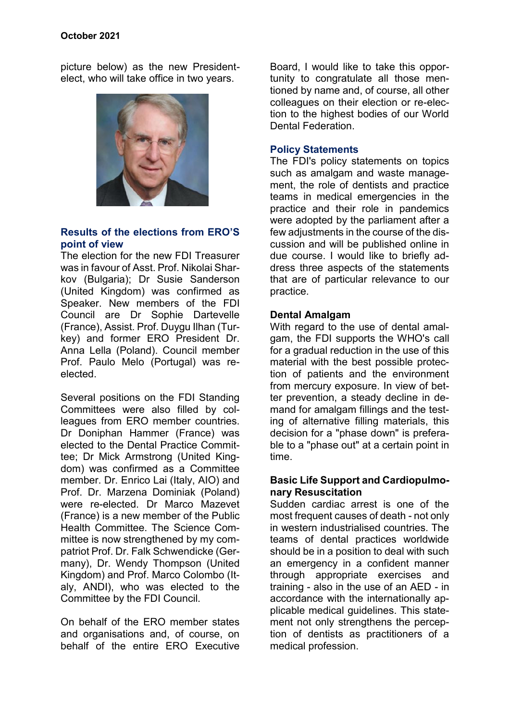picture below) as the new Presidentelect, who will take office in two years.



## **Results of the elections from ERO'S point of view**

The election for the new FDI Treasurer was in favour of Asst. Prof. Nikolai Sharkov (Bulgaria); Dr Susie Sanderson (United Kingdom) was confirmed as Speaker. New members of the FDI Council are Dr Sophie Dartevelle (France), Assist. Prof. Duygu Ilhan (Turkey) and former ERO President Dr. Anna Lella (Poland). Council member Prof. Paulo Melo (Portugal) was reelected.

Several positions on the FDI Standing Committees were also filled by colleagues from ERO member countries. Dr Doniphan Hammer (France) was elected to the Dental Practice Committee; Dr Mick Armstrong (United Kingdom) was confirmed as a Committee member. Dr. Enrico Lai (Italy, AIO) and Prof. Dr. Marzena Dominiak (Poland) were re-elected. Dr Marco Mazevet (France) is a new member of the Public Health Committee. The Science Committee is now strengthened by my compatriot Prof. Dr. Falk Schwendicke (Germany), Dr. Wendy Thompson (United Kingdom) and Prof. Marco Colombo (Italy, ANDI), who was elected to the Committee by the FDI Council.

On behalf of the ERO member states and organisations and, of course, on behalf of the entire ERO Executive

Board, I would like to take this opportunity to congratulate all those mentioned by name and, of course, all other colleagues on their election or re-election to the highest bodies of our World Dental Federation.

## **Policy Statements**

The FDI's policy statements on topics such as amalgam and waste management, the role of dentists and practice teams in medical emergencies in the practice and their role in pandemics were adopted by the parliament after a few adjustments in the course of the discussion and will be published online in due course. I would like to briefly address three aspects of the statements that are of particular relevance to our practice.

### **Dental Amalgam**

With regard to the use of dental amalgam, the FDI supports the WHO's call for a gradual reduction in the use of this material with the best possible protection of patients and the environment from mercury exposure. In view of better prevention, a steady decline in demand for amalgam fillings and the testing of alternative filling materials, this decision for a "phase down" is preferable to a "phase out" at a certain point in time.

#### **Basic Life Support and Cardiopulmonary Resuscitation**

Sudden cardiac arrest is one of the most frequent causes of death - not only in western industrialised countries. The teams of dental practices worldwide should be in a position to deal with such an emergency in a confident manner through appropriate exercises and training - also in the use of an AED - in accordance with the internationally applicable medical guidelines. This statement not only strengthens the perception of dentists as practitioners of a medical profession.